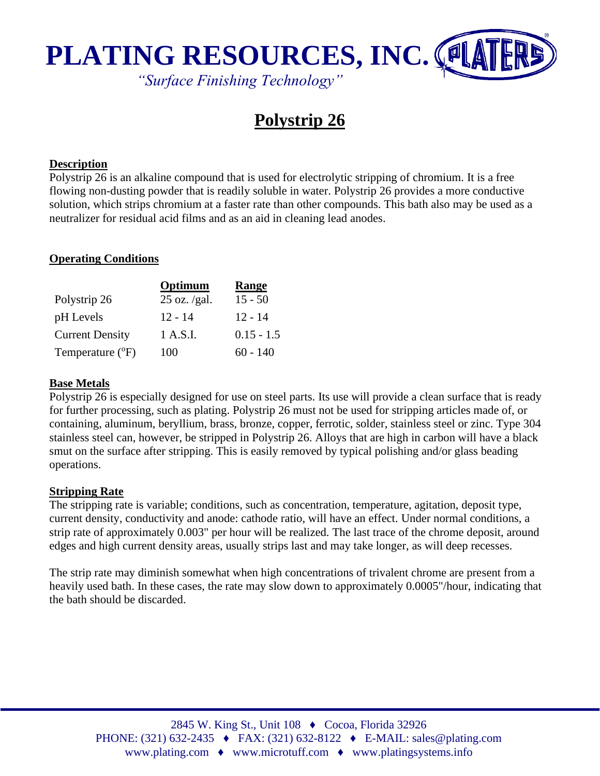

# **Polystrip 26**

#### **Description**

Polystrip 26 is an alkaline compound that is used for electrolytic stripping of chromium. It is a free flowing non-dusting powder that is readily soluble in water. Polystrip 26 provides a more conductive solution, which strips chromium at a faster rate than other compounds. This bath also may be used as a neutralizer for residual acid films and as an aid in cleaning lead anodes.

#### **Operating Conditions**

|                        | Optimum        | Range        |
|------------------------|----------------|--------------|
| Polystrip 26           | $25$ oz. /gal. | $15 - 50$    |
| pH Levels              | $12 - 14$      | $12 - 14$    |
| <b>Current Density</b> | 1 A.S.I.       | $0.15 - 1.5$ |
| Temperature (°F)       | 100            | $60 - 140$   |

#### **Base Metals**

Polystrip 26 is especially designed for use on steel parts. Its use will provide a clean surface that is ready for further processing, such as plating. Polystrip 26 must not be used for stripping articles made of, or containing, aluminum, beryllium, brass, bronze, copper, ferrotic, solder, stainless steel or zinc. Type 304 stainless steel can, however, be stripped in Polystrip 26. Alloys that are high in carbon will have a black smut on the surface after stripping. This is easily removed by typical polishing and/or glass beading operations.

#### **Stripping Rate**

The stripping rate is variable; conditions, such as concentration, temperature, agitation, deposit type, current density, conductivity and anode: cathode ratio, will have an effect. Under normal conditions, a strip rate of approximately 0.003" per hour will be realized. The last trace of the chrome deposit, around edges and high current density areas, usually strips last and may take longer, as will deep recesses.

The strip rate may diminish somewhat when high concentrations of trivalent chrome are present from a heavily used bath. In these cases, the rate may slow down to approximately 0.0005"/hour, indicating that the bath should be discarded.